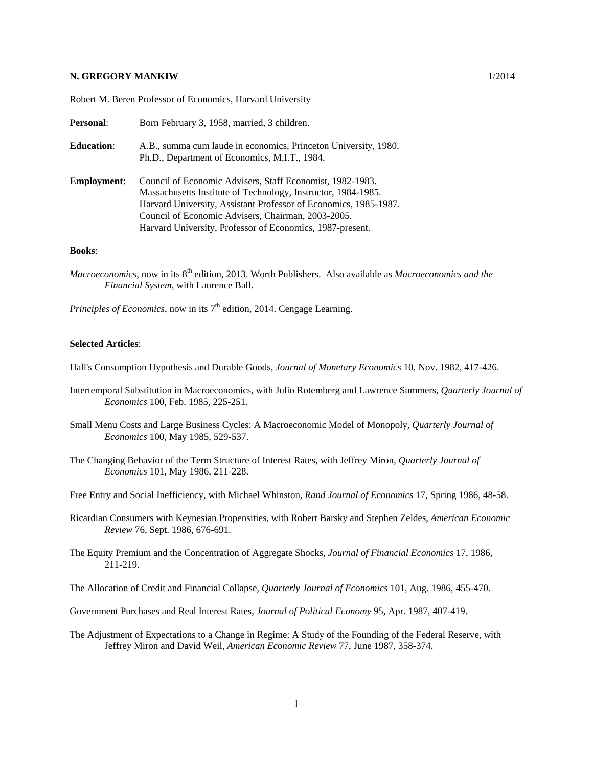## **N. GREGORY MANKIW** 1/2014

Robert M. Beren Professor of Economics, Harvard University

| <b>Personal:</b>   | Born February 3, 1958, married, 3 children.                                                                                                                                                                                                                                                                       |
|--------------------|-------------------------------------------------------------------------------------------------------------------------------------------------------------------------------------------------------------------------------------------------------------------------------------------------------------------|
| <b>Education:</b>  | A.B., summa cum laude in economics, Princeton University, 1980.<br>Ph.D., Department of Economics, M.I.T., 1984.                                                                                                                                                                                                  |
| <b>Employment:</b> | Council of Economic Advisers, Staff Economist, 1982-1983.<br>Massachusetts Institute of Technology, Instructor, 1984-1985.<br>Harvard University, Assistant Professor of Economics, 1985-1987.<br>Council of Economic Advisers, Chairman, 2003-2005.<br>Harvard University, Professor of Economics, 1987-present. |

## **Books**:

*Macroeconomics*, now in its 8<sup>th</sup> edition, 2013. Worth Publishers. Also available as *Macroeconomics and the Financial System*, with Laurence Ball.

*Principles of Economics*, now in its  $7<sup>th</sup>$  edition, 2014. Cengage Learning.

## **Selected Articles**:

Hall's Consumption Hypothesis and Durable Goods, *Journal of Monetary Economics* 10, Nov. 1982, 417-426.

- Intertemporal Substitution in Macroeconomics, with Julio Rotemberg and Lawrence Summers, *Quarterly Journal of Economics* 100, Feb. 1985, 225-251.
- Small Menu Costs and Large Business Cycles: A Macroeconomic Model of Monopoly, *Quarterly Journal of Economics* 100, May 1985, 529-537.
- The Changing Behavior of the Term Structure of Interest Rates, with Jeffrey Miron, *Quarterly Journal of Economics* 101, May 1986, 211-228.

Free Entry and Social Inefficiency, with Michael Whinston, *Rand Journal of Economics* 17, Spring 1986, 48-58.

- Ricardian Consumers with Keynesian Propensities, with Robert Barsky and Stephen Zeldes, *American Economic Review* 76, Sept. 1986, 676-691.
- The Equity Premium and the Concentration of Aggregate Shocks, *Journal of Financial Economics* 17, 1986, 211-219.

The Allocation of Credit and Financial Collapse, *Quarterly Journal of Economics* 101, Aug. 1986, 455-470.

Government Purchases and Real Interest Rates, *Journal of Political Economy* 95, Apr. 1987, 407-419.

The Adjustment of Expectations to a Change in Regime: A Study of the Founding of the Federal Reserve, with Jeffrey Miron and David Weil, *American Economic Review* 77, June 1987, 358-374.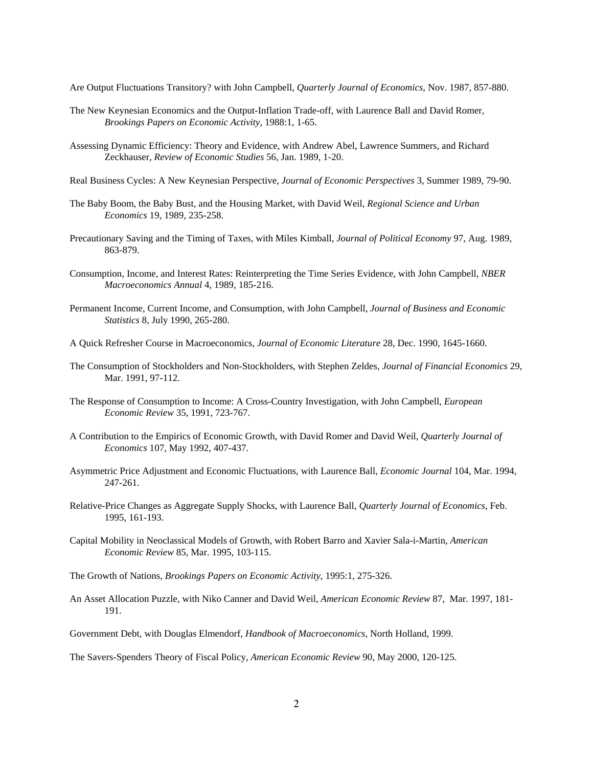Are Output Fluctuations Transitory? with John Campbell, *Quarterly Journal of Economics*, Nov. 1987, 857-880.

- The New Keynesian Economics and the Output-Inflation Trade-off, with Laurence Ball and David Romer, *Brookings Papers on Economic Activity*, 1988:1, 1-65.
- Assessing Dynamic Efficiency: Theory and Evidence, with Andrew Abel, Lawrence Summers, and Richard Zeckhauser, *Review of Economic Studies* 56, Jan. 1989, 1-20.
- Real Business Cycles: A New Keynesian Perspective, *Journal of Economic Perspectives* 3, Summer 1989, 79-90.
- The Baby Boom, the Baby Bust, and the Housing Market, with David Weil, *Regional Science and Urban Economics* 19, 1989, 235-258.
- Precautionary Saving and the Timing of Taxes, with Miles Kimball, *Journal of Political Economy* 97, Aug. 1989, 863-879.
- Consumption, Income, and Interest Rates: Reinterpreting the Time Series Evidence, with John Campbell, *NBER Macroeconomics Annual* 4, 1989, 185-216.
- Permanent Income, Current Income, and Consumption, with John Campbell, *Journal of Business and Economic Statistics* 8, July 1990, 265-280.
- A Quick Refresher Course in Macroeconomics, *Journal of Economic Literature* 28, Dec. 1990, 1645-1660.
- The Consumption of Stockholders and Non-Stockholders, with Stephen Zeldes, *Journal of Financial Economics* 29, Mar. 1991, 97-112.
- The Response of Consumption to Income: A Cross-Country Investigation, with John Campbell, *European Economic Review* 35, 1991, 723-767.
- A Contribution to the Empirics of Economic Growth, with David Romer and David Weil, *Quarterly Journal of Economics* 107, May 1992, 407-437.
- Asymmetric Price Adjustment and Economic Fluctuations, with Laurence Ball, *Economic Journal* 104, Mar. 1994, 247-261.
- Relative-Price Changes as Aggregate Supply Shocks, with Laurence Ball, *Quarterly Journal of Economics*, Feb. 1995, 161-193.
- Capital Mobility in Neoclassical Models of Growth, with Robert Barro and Xavier Sala-i-Martin, *American Economic Review* 85, Mar. 1995, 103-115.
- The Growth of Nations, *Brookings Papers on Economic Activity*, 1995:1, 275-326.
- An Asset Allocation Puzzle, with Niko Canner and David Weil, *American Economic Review* 87, Mar. 1997, 181- 191.
- Government Debt, with Douglas Elmendorf, *Handbook of Macroeconomics*, North Holland, 1999.

The Savers-Spenders Theory of Fiscal Policy, *American Economic Review* 90, May 2000, 120-125.